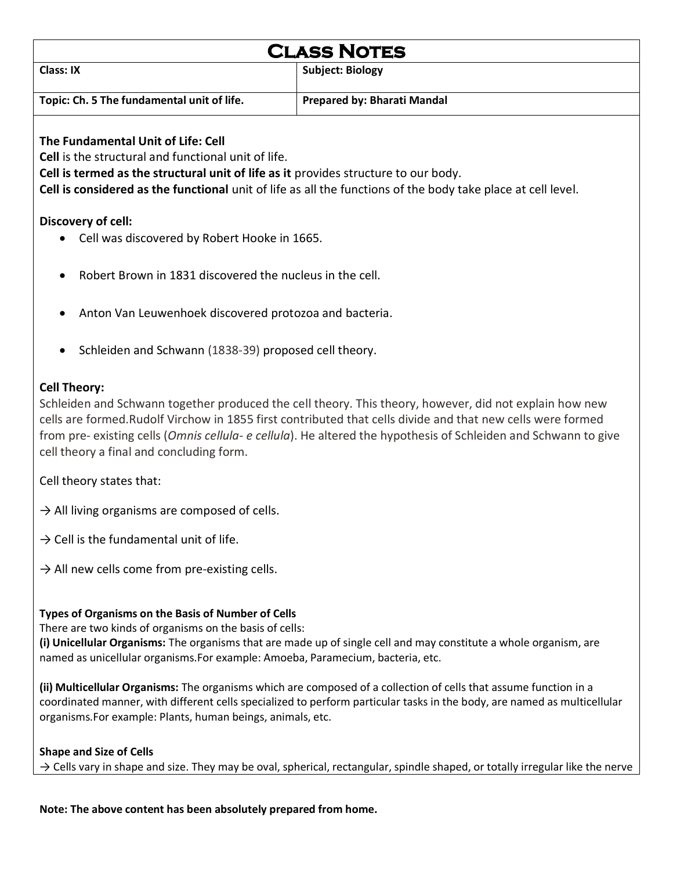| <b>CLASS NOTES</b>                                                                                           |                                    |  |  |
|--------------------------------------------------------------------------------------------------------------|------------------------------------|--|--|
| Class: IX                                                                                                    | <b>Subject: Biology</b>            |  |  |
| Topic: Ch. 5 The fundamental unit of life.                                                                   | <b>Prepared by: Bharati Mandal</b> |  |  |
| The Fundamental Unit of Life: Cell                                                                           |                                    |  |  |
| <b>Cell</b> is the structural and functional unit of life.                                                   |                                    |  |  |
| Cell is termed as the structural unit of life as it provides structure to our body.                          |                                    |  |  |
| Cell is considered as the functional unit of life as all the functions of the body take place at cell level. |                                    |  |  |
|                                                                                                              |                                    |  |  |

- **Discovery of cell:**
	- Cell was discovered by Robert Hooke in 1665.
	- Robert Brown in 1831 discovered the nucleus in the cell.
	- Anton Van Leuwenhoek discovered protozoa and bacteria.
	- Schleiden and Schwann (1838-39) proposed cell theory.

#### **Cell Theory:**

Schleiden and Schwann together produced the cell theory. This theory, however, did not explain how new cells are formed.Rudolf Virchow in 1855 first contributed that cells divide and that new cells were formed from pre- existing cells (*Omnis cellula- e cellula*). He altered the hypothesis of Schleiden and Schwann to give cell theory a final and concluding form.

Cell theory states that:

- $\rightarrow$  All living organisms are composed of cells.
- $\rightarrow$  Cell is the fundamental unit of life.
- $\rightarrow$  All new cells come from pre-existing cells.

### **Types of Organisms on the Basis of Number of Cells**

There are two kinds of organisms on the basis of cells:

**(i) Unicellular Organisms:** The organisms that are made up of single cell and may constitute a whole organism, are named as unicellular organisms.For example: Amoeba, Paramecium, bacteria, etc.

**(ii) Multicellular Organisms:** The organisms which are composed of a collection of cells that assume function in a coordinated manner, with different cells specialized to perform particular tasks in the body, are named as multicellular organisms.For example: Plants, human beings, animals, etc.

# **Shape and Size of Cells**

 $\rightarrow$  Cells vary in shape and size. They may be oval, spherical, rectangular, spindle shaped, or totally irregular like the nerve

**Note: The above content has been absolutely prepared from home.**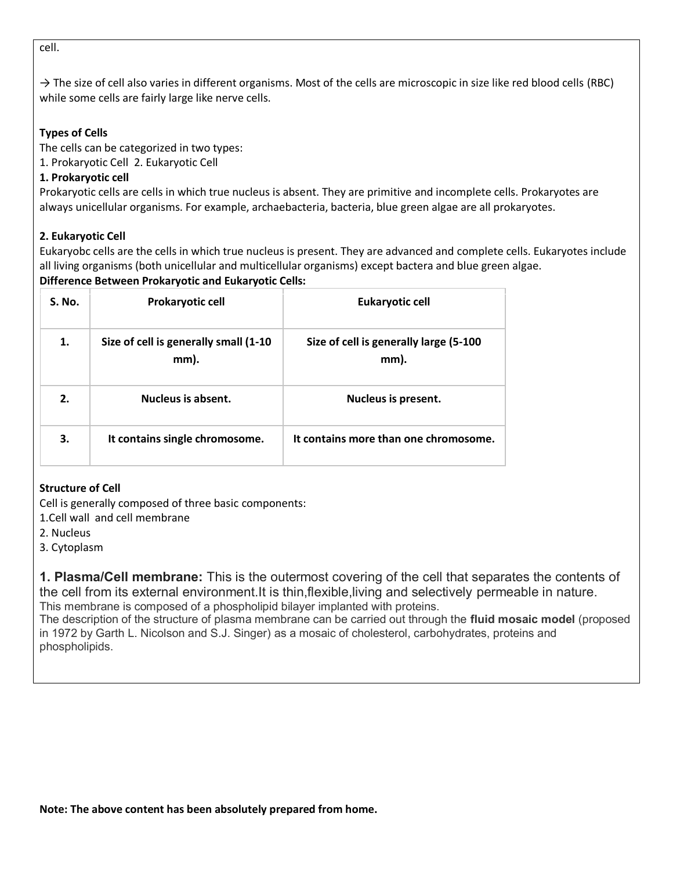cell.

→ The size of cell also varies in different organisms. Most of the cells are microscopic in size like red blood cells (RBC) while some cells are fairly large like nerve cells.

## **Types of Cells**

The cells can be categorized in two types:

1. Prokaryotic Cell 2. Eukaryotic Cell

## **1. Prokaryotic cell**

Prokaryotic cells are cells in which true nucleus is absent. They are primitive and incomplete cells. Prokaryotes are always unicellular organisms. For example, archaebacteria, bacteria, blue green algae are all prokaryotes.

## **2. Eukaryotic Cell**

Eukaryobc cells are the cells in which true nucleus is present. They are advanced and complete cells. Eukaryotes include all living organisms (both unicellular and multicellular organisms) except bactera and blue green algae.

#### **Difference Between Prokaryotic and Eukaryotic Cells:**

| S. No. | <b>Prokaryotic cell</b>                       | <b>Eukaryotic cell</b>                          |
|--------|-----------------------------------------------|-------------------------------------------------|
| 1.     | Size of cell is generally small (1-10<br>mm). | Size of cell is generally large (5-100)<br>mm). |
| 2.     | Nucleus is absent.                            | Nucleus is present.                             |
| 3.     | It contains single chromosome.                | It contains more than one chromosome.           |

### **Structure of Cell**

Cell is generally composed of three basic components:

1.Cell wall and cell membrane

- 2. Nucleus
- 3. Cytoplasm

**1. Plasma/Cell membrane:** This is the outermost covering of the cell that separates the contents of the cell from its external environment.It is thin,flexible,living and selectively permeable in nature. This membrane is composed of a phospholipid bilayer implanted with proteins.

The description of the structure of plasma membrane can be carried out through the **fluid mosaic model** (proposed in 1972 by Garth L. Nicolson and S.J. Singer) as a mosaic of cholesterol, carbohydrates, proteins and phospholipids.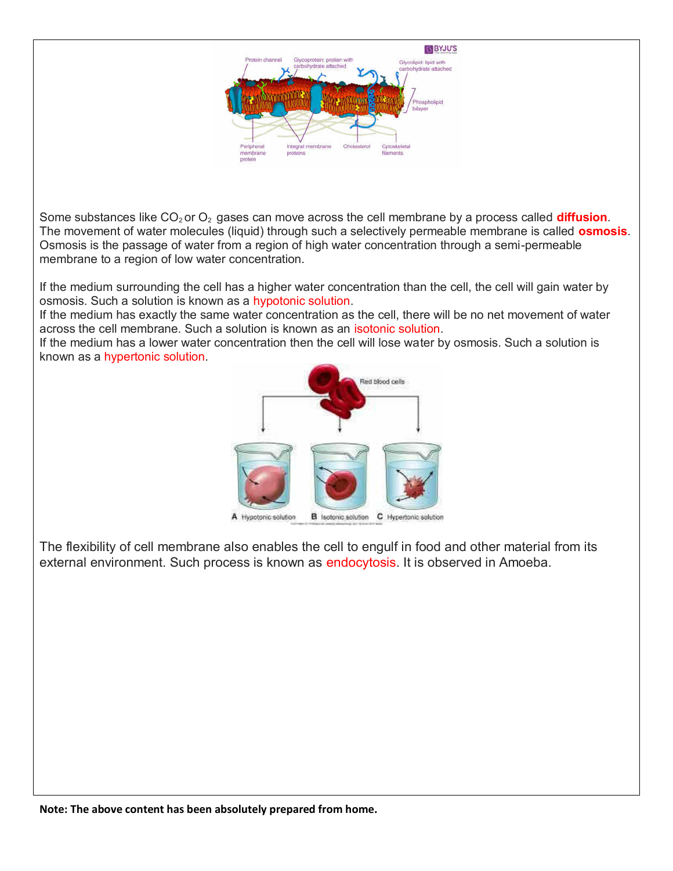

Some substances like CO<sub>2</sub> or O<sub>2</sub> gases can move across the cell membrane by a process called **diffusion**. The movement of water molecules (liquid) through such a selectively permeable membrane is called **osmosis**. Osmosis is the passage of water from a region of high water concentration through a semi-permeable membrane to a region of low water concentration.

If the medium surrounding the cell has a higher water concentration than the cell, the cell will gain water by osmosis. Such a solution is known as a hypotonic solution.

If the medium has exactly the same water concentration as the cell, there will be no net movement of water across the cell membrane. Such a solution is known as an isotonic solution.

If the medium has a lower water concentration then the cell will lose water by osmosis. Such a solution is known as a hypertonic solution.



The flexibility of cell membrane also enables the cell to engulf in food and other material from its external environment. Such process is known as endocytosis. It is observed in Amoeba.